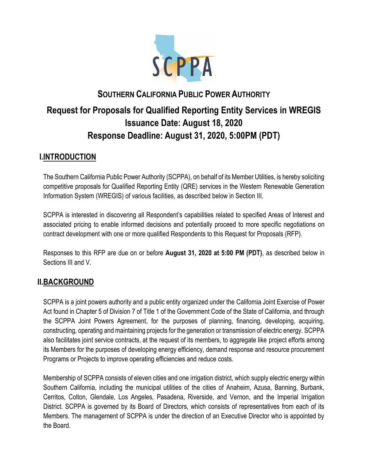

# **SOUTHERN CALIFORNIA PUBLIC POWER AUTHORITY Request for Proposals for Qualified Reporting Entity Services in WREGIS Issuance Date: August 18, 2020 Response Deadline: August 31, 2020, 5:00PM (PDT)**

# **I.INTRODUCTION**

The Southern California Public Power Authority (SCPPA), on behalf of its Member Utilities, is hereby soliciting competitive proposals for Qualified Reporting Entity (QRE) services in the Western Renewable Generation Information System (WREGIS) of various facilities, as described below in Section III.

SCPPA is interested in discovering all Respondent's capabilities related to specified Areas of Interest and associated pricing to enable informed decisions and potentially proceed to more specific negotiations on contract development with one or more qualified Respondents to this Request for Proposals (RFP).

Responses to this RFP are due on or before **August 31, 2020 at 5:00 PM (PDT)**, as described below in Sections III and V.

# **II.BACKGROUND**

SCPPA is a joint powers authority and a public entity organized under the California Joint Exercise of Power Act found in Chapter 5 of Division 7 of Title 1 of the Government Code of the State of California, and through the SCPPA Joint Powers Agreement, for the purposes of planning, financing, developing, acquiring, constructing, operating and maintaining projects for the generation or transmission of electric energy. SCPPA also facilitates joint service contracts, at the request of its members, to aggregate like project efforts among its Members for the purposes of developing energy efficiency, demand response and resource procurement Programs or Projects to improve operating efficiencies and reduce costs.

Membership of SCPPA consists of eleven cities and one irrigation district, which supply electric energy within Southern California, including the municipal utilities of the cities of Anaheim, Azusa, Banning, Burbank, Cerritos, Colton, Glendale, Los Angeles, Pasadena, Riverside, and Vernon, and the Imperial Irrigation District. SCPPA is governed by its Board of Directors, which consists of representatives from each of its Members. The management of SCPPA is under the direction of an Executive Director who is appointed by the Board.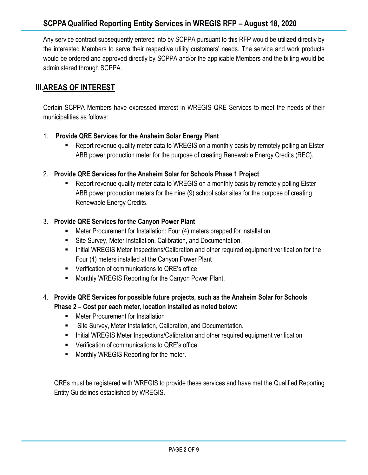Any service contract subsequently entered into by SCPPA pursuant to this RFP would be utilized directly by the interested Members to serve their respective utility customers' needs. The service and work products would be ordered and approved directly by SCPPA and/or the applicable Members and the billing would be administered through SCPPA.

# **III.AREAS OF INTEREST**

Certain SCPPA Members have expressed interest in WREGIS QRE Services to meet the needs of their municipalities as follows:

#### 1. **Provide QRE Services for the Anaheim Solar Energy Plant**

- Report revenue quality meter data to WREGIS on a monthly basis by remotely polling an Elster ABB power production meter for the purpose of creating Renewable Energy Credits (REC).
- 2. **Provide QRE Services for the Anaheim Solar for Schools Phase 1 Project** 
	- Report revenue quality meter data to WREGIS on a monthly basis by remotely polling Elster ABB power production meters for the nine (9) school solar sites for the purpose of creating Renewable Energy Credits.

#### 3. **Provide QRE Services for the Canyon Power Plant**

- Meter Procurement for Installation: Four (4) meters prepped for installation.
- Site Survey, Meter Installation, Calibration, and Documentation.
- **EXECT:** Initial WREGIS Meter Inspections/Calibration and other required equipment verification for the Four (4) meters installed at the Canyon Power Plant
- Verification of communications to QRE's office
- Monthly WREGIS Reporting for the Canyon Power Plant.

#### 4. **Provide QRE Services for possible future projects, such as the Anaheim Solar for Schools Phase 2 – Cost per each meter, location installed as noted below:**

- Meter Procurement for Installation
- Site Survey, Meter Installation, Calibration, and Documentation.
- **■** Initial WREGIS Meter Inspections/Calibration and other required equipment verification
- Verification of communications to QRE's office
- Monthly WREGIS Reporting for the meter.

QREs must be registered with WREGIS to provide these services and have met the Qualified Reporting Entity Guidelines established by WREGIS.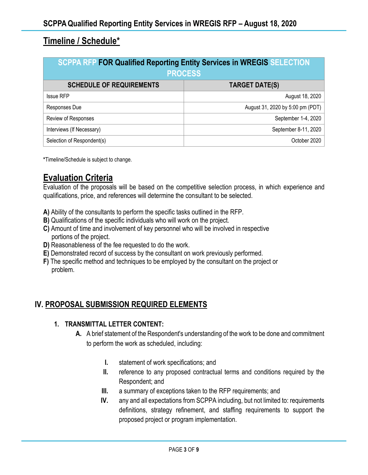# **Timeline / Schedule\***

| <b>SCPPA RFP FOR Qualified Reporting Entity Services in WREGIS SELECTION</b><br><b>PROCESS</b> |                                  |
|------------------------------------------------------------------------------------------------|----------------------------------|
| <b>SCHEDULE OF REQUIREMENTS</b>                                                                | <b>TARGET DATE(S)</b>            |
| <b>Issue RFP</b>                                                                               | August 18, 2020                  |
| Responses Due                                                                                  | August 31, 2020 by 5:00 pm (PDT) |
| Review of Responses                                                                            | September 1-4, 2020              |
| Interviews (If Necessary)                                                                      | September 8-11, 2020             |
| Selection of Respondent(s)                                                                     | October 2020                     |

**\***Timeline/Schedule is subject to change.

# **Evaluation Criteria**

Evaluation of the proposals will be based on the competitive selection process, in which experience and qualifications, price, and references will determine the consultant to be selected.

- **A)** Ability of the consultants to perform the specific tasks outlined in the RFP.
- **B)** Qualifications of the specific individuals who will work on the project.
- **C)** Amount of time and involvement of key personnel who will be involved in respective portions of the project.
- **D)** Reasonableness of the fee requested to do the work.
- **E)** Demonstrated record of success by the consultant on work previously performed.
- **F)** The specific method and techniques to be employed by the consultant on the project or problem.

### **IV. PROPOSAL SUBMISSION REQUIRED ELEMENTS**

#### **1. TRANSMITTAL LETTER CONTENT:**

- **A.** A brief statement of the Respondent's understanding of the work to be done and commitment to perform the work as scheduled, including:
	- **I.** statement of work specifications; and
	- **II.** reference to any proposed contractual terms and conditions required by the Respondent; and
	- **III.** a summary of exceptions taken to the RFP requirements; and
	- **IV.** any and all expectations from SCPPA including, but not limited to: requirements definitions, strategy refinement, and staffing requirements to support the proposed project or program implementation.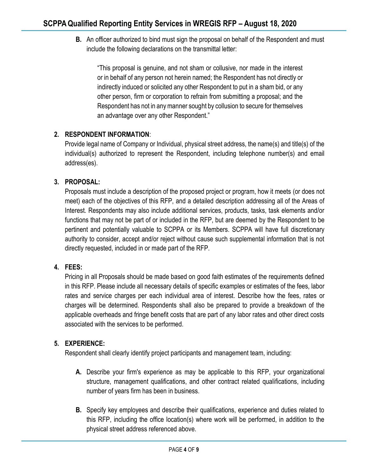**B.** An officer authorized to bind must sign the proposal on behalf of the Respondent and must include the following declarations on the transmittal letter:

"This proposal is genuine, and not sham or collusive, nor made in the interest or in behalf of any person not herein named; the Respondent has not directly or indirectly induced or solicited any other Respondent to put in a sham bid, or any other person, firm or corporation to refrain from submitting a proposal; and the Respondent has not in any manner sought by collusion to secure for themselves an advantage over any other Respondent."

#### **2. RESPONDENT INFORMATION**:

Provide legal name of Company or Individual, physical street address, the name(s) and title(s) of the individual(s) authorized to represent the Respondent, including telephone number(s) and email address(es).

#### **3. PROPOSAL:**

Proposals must include a description of the proposed project or program, how it meets (or does not meet) each of the objectives of this RFP, and a detailed description addressing all of the Areas of Interest. Respondents may also include additional services, products, tasks, task elements and/or functions that may not be part of or included in the RFP, but are deemed by the Respondent to be pertinent and potentially valuable to SCPPA or its Members. SCPPA will have full discretionary authority to consider, accept and/or reject without cause such supplemental information that is not directly requested, included in or made part of the RFP.

#### **4. FEES:**

Pricing in all Proposals should be made based on good faith estimates of the requirements defined in this RFP. Please include all necessary details of specific examples or estimates of the fees, labor rates and service charges per each individual area of interest. Describe how the fees, rates or charges will be determined. Respondents shall also be prepared to provide a breakdown of the applicable overheads and fringe benefit costs that are part of any labor rates and other direct costs associated with the services to be performed.

#### **5. EXPERIENCE:**

Respondent shall clearly identify project participants and management team, including:

- **A.** Describe your firm's experience as may be applicable to this RFP, your organizational structure, management qualifications, and other contract related qualifications, including number of years firm has been in business.
- **B.** Specify key employees and describe their qualifications, experience and duties related to this RFP, including the office location(s) where work will be performed, in addition to the physical street address referenced above.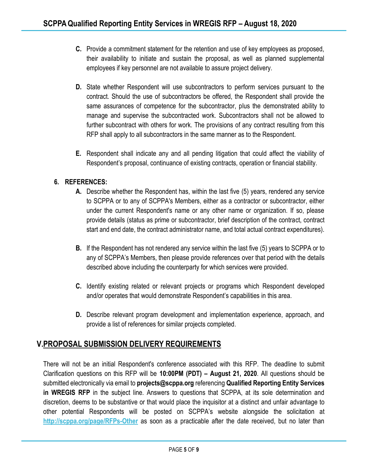- **C.** Provide a commitment statement for the retention and use of key employees as proposed, their availability to initiate and sustain the proposal, as well as planned supplemental employees if key personnel are not available to assure project delivery.
- **D.** State whether Respondent will use subcontractors to perform services pursuant to the contract. Should the use of subcontractors be offered, the Respondent shall provide the same assurances of competence for the subcontractor, plus the demonstrated ability to manage and supervise the subcontracted work. Subcontractors shall not be allowed to further subcontract with others for work. The provisions of any contract resulting from this RFP shall apply to all subcontractors in the same manner as to the Respondent.
- **E.** Respondent shall indicate any and all pending litigation that could affect the viability of Respondent's proposal, continuance of existing contracts, operation or financial stability.

#### **6. REFERENCES:**

- **A.** Describe whether the Respondent has, within the last five (5) years, rendered any service to SCPPA or to any of SCPPA's Members, either as a contractor or subcontractor, either under the current Respondent's name or any other name or organization. If so, please provide details (status as prime or subcontractor, brief description of the contract, contract start and end date, the contract administrator name, and total actual contract expenditures).
- **B.** If the Respondent has not rendered any service within the last five (5) years to SCPPA or to any of SCPPA's Members, then please provide references over that period with the details described above including the counterparty for which services were provided.
- **C.** Identify existing related or relevant projects or programs which Respondent developed and/or operates that would demonstrate Respondent's capabilities in this area.
- **D.** Describe relevant program development and implementation experience, approach, and provide a list of references for similar projects completed.

## **V.PROPOSAL SUBMISSION DELIVERY REQUIREMENTS**

There will not be an initial Respondent's conference associated with this RFP. The deadline to submit Clarification questions on this RFP will be **10:00PM (PDT) – August 21, 2020**. All questions should be submitted electronically via email to **projects@scppa.org** referencing **Qualified Reporting Entity Services in WREGIS RFP** in the subject line. Answers to questions that SCPPA, at its sole determination and discretion, deems to be substantive or that would place the inquisitor at a distinct and unfair advantage to other potential Respondents will be posted on SCPPA's website alongside the solicitation at **<http://scppa.org/page/RFPs-Other>** as soon as a practicable after the date received, but no later than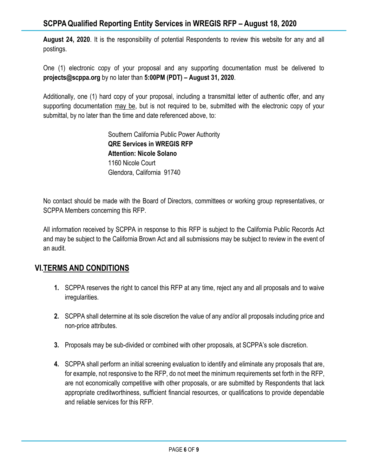**August 24, 2020**. It is the responsibility of potential Respondents to review this website for any and all postings.

One (1) electronic copy of your proposal and any supporting documentation must be delivered to **projects@scppa.org** by no later than **5:00PM (PDT) – August 31, 2020**.

Additionally, one (1) hard copy of your proposal, including a transmittal letter of authentic offer, and any supporting documentation may be, but is not required to be, submitted with the electronic copy of your submittal, by no later than the time and date referenced above, to:

> Southern California Public Power Authority **QRE Services in WREGIS RFP Attention: Nicole Solano** 1160 Nicole Court Glendora, California 91740

No contact should be made with the Board of Directors, committees or working group representatives, or SCPPA Members concerning this RFP.

All information received by SCPPA in response to this RFP is subject to the California Public Records Act and may be subject to the California Brown Act and all submissions may be subject to review in the event of an audit.

# **VI.TERMS AND CONDITIONS**

- **1.** SCPPA reserves the right to cancel this RFP at any time, reject any and all proposals and to waive irregularities.
- **2.** SCPPA shall determine at its sole discretion the value of any and/or all proposals including price and non-price attributes.
- **3.** Proposals may be sub-divided or combined with other proposals, at SCPPA's sole discretion.
- **4.** SCPPA shall perform an initial screening evaluation to identify and eliminate any proposals that are, for example, not responsive to the RFP, do not meet the minimum requirements set forth in the RFP, are not economically competitive with other proposals, or are submitted by Respondents that lack appropriate creditworthiness, sufficient financial resources, or qualifications to provide dependable and reliable services for this RFP.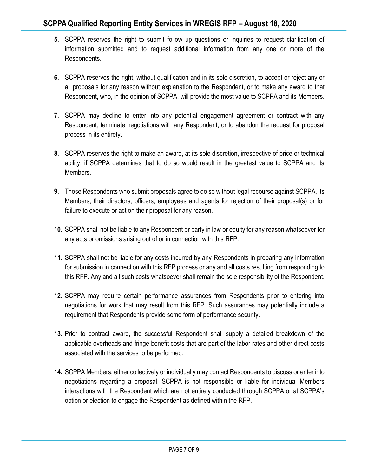- **5.** SCPPA reserves the right to submit follow up questions or inquiries to request clarification of information submitted and to request additional information from any one or more of the Respondents.
- **6.** SCPPA reserves the right, without qualification and in its sole discretion, to accept or reject any or all proposals for any reason without explanation to the Respondent, or to make any award to that Respondent, who, in the opinion of SCPPA, will provide the most value to SCPPA and its Members.
- **7.** SCPPA may decline to enter into any potential engagement agreement or contract with any Respondent, terminate negotiations with any Respondent, or to abandon the request for proposal process in its entirety.
- **8.** SCPPA reserves the right to make an award, at its sole discretion, irrespective of price or technical ability, if SCPPA determines that to do so would result in the greatest value to SCPPA and its Members.
- **9.** Those Respondents who submit proposals agree to do so without legal recourse against SCPPA, its Members, their directors, officers, employees and agents for rejection of their proposal(s) or for failure to execute or act on their proposal for any reason.
- **10.** SCPPA shall not be liable to any Respondent or party in law or equity for any reason whatsoever for any acts or omissions arising out of or in connection with this RFP.
- **11.** SCPPA shall not be liable for any costs incurred by any Respondents in preparing any information for submission in connection with this RFP process or any and all costs resulting from responding to this RFP. Any and all such costs whatsoever shall remain the sole responsibility of the Respondent.
- **12.** SCPPA may require certain performance assurances from Respondents prior to entering into negotiations for work that may result from this RFP. Such assurances may potentially include a requirement that Respondents provide some form of performance security.
- **13.** Prior to contract award, the successful Respondent shall supply a detailed breakdown of the applicable overheads and fringe benefit costs that are part of the labor rates and other direct costs associated with the services to be performed.
- **14.** SCPPA Members, either collectively or individually may contact Respondents to discuss or enter into negotiations regarding a proposal. SCPPA is not responsible or liable for individual Members interactions with the Respondent which are not entirely conducted through SCPPA or at SCPPA's option or election to engage the Respondent as defined within the RFP.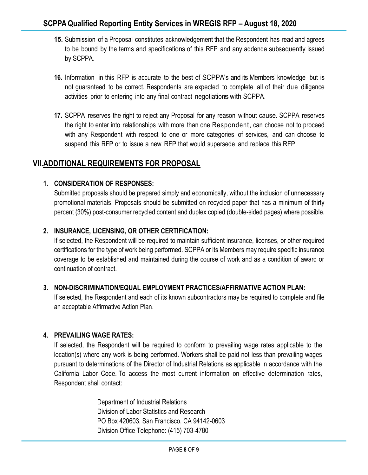- **15.** Submission of a Proposal constitutes acknowledgement that the Respondent has read and agrees to be bound by the terms and specifications of this RFP and any addenda subsequently issued by SCPPA.
- **16.** Information in this RFP is accurate to the best of SCPPA's and its Members' knowledge but is not guaranteed to be correct. Respondents are expected to complete all of their due diligence activities prior to entering into any final contract negotiations with SCPPA.
- **17.** SCPPA reserves the right to reject any Proposal for any reason without cause. SCPPA reserves the right to enter into relationships with more than one Respondent, can choose not to proceed with any Respondent with respect to one or more categories of services, and can choose to suspend this RFP or to issue a new RFP that would supersede and replace this RFP.

### **VII.ADDITIONAL REQUIREMENTS FOR PROPOSAL**

#### **1. CONSIDERATION OF RESPONSES:**

Submitted proposals should be prepared simply and economically, without the inclusion of unnecessary promotional materials. Proposals should be submitted on recycled paper that has a minimum of thirty percent (30%) post-consumer recycled content and duplex copied (double-sided pages) where possible.

#### **2. INSURANCE, LICENSING, OR OTHER CERTIFICATION:**

If selected, the Respondent will be required to maintain sufficient insurance, licenses, or other required certifications for the type of work being performed. SCPPA or its Members may require specific insurance coverage to be established and maintained during the course of work and as a condition of award or continuation of contract.

#### **3. NON-DISCRIMINATION/EQUAL EMPLOYMENT PRACTICES/AFFIRMATIVE ACTION PLAN:**

If selected, the Respondent and each of its known subcontractors may be required to complete and file an acceptable Affirmative Action Plan.

#### **4. PREVAILING WAGE RATES:**

If selected, the Respondent will be required to conform to prevailing wage rates applicable to the location(s) where any work is being performed. Workers shall be paid not less than prevailing wages pursuant to determinations of the Director of Industrial Relations as applicable in accordance with the California Labor Code. To access the most current information on effective determination rates, Respondent shall contact:

> Department of Industrial Relations Division of Labor Statistics and Research PO Box 420603, San Francisco, CA 94142-0603 Division Office Telephone: (415) 703-4780